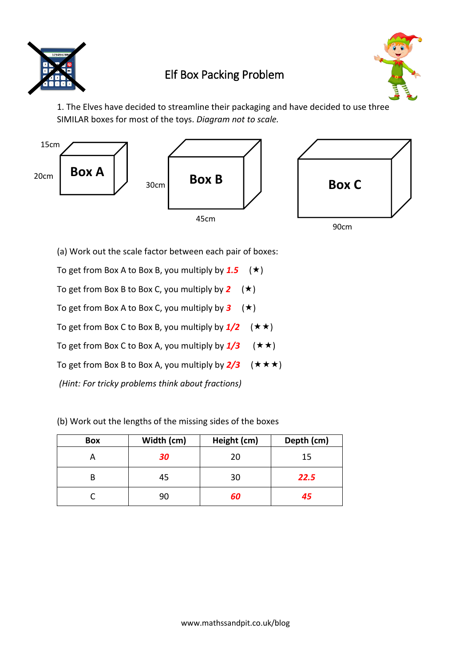

## Elf Box Packing Problem



1. The Elves have decided to streamline their packaging and have decided to use three SIMILAR boxes for most of the toys. *Diagram not to scale.*



(a) Work out the scale factor between each pair of boxes:

To get from Box A to Box B, you multiply by  $1.5 \quad (\star)$ 

To get from Box B to Box C, you multiply by  $2 \quad (\star)$ 

To get from Box A to Box C, you multiply by  $3 \quad (\star)$ 

To get from Box C to Box B, you multiply by  $1/2$  ( $\star \star$ )

To get from Box C to Box A, you multiply by  $1/3$  ( $\star \star$ )

To get from Box B to Box A, you multiply by  $2/3$  ( $\star \star \star$ )

*(Hint: For tricky problems think about fractions)*

(b) Work out the lengths of the missing sides of the boxes

| <b>Box</b> | Width (cm) | Height (cm) | Depth (cm) |
|------------|------------|-------------|------------|
|            | 30         | 20          | 15         |
| В          | 45         | 30          | 22.5       |
|            | 90         | 60          | 45         |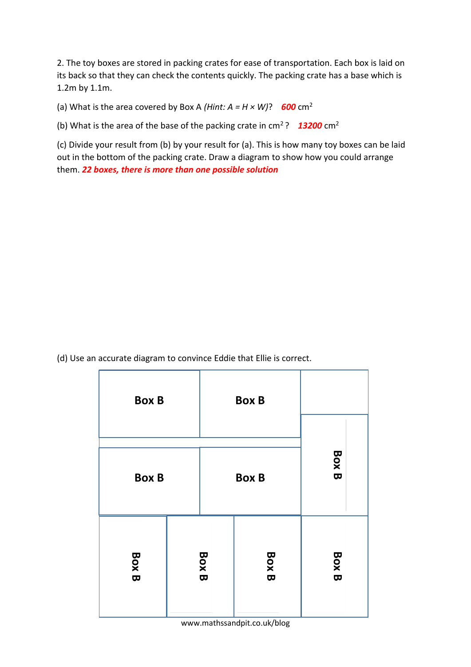2. The toy boxes are stored in packing crates for ease of transportation. Each box is laid on its back so that they can check the contents quickly. The packing crate has a base which is 1.2m by 1.1m.

(a) What is the area covered by Box A (*Hint: A = H × W*)? **600** cm<sup>2</sup>

(b) What is the area of the base of the packing crate in cm<sup>2</sup>? *13200* cm<sup>2</sup>

(c) Divide your result from (b) by your result for (a). This is how many toy boxes can be laid out in the bottom of the packing crate. Draw a diagram to show how you could arrange them. *22 boxes, there is more than one possible solution*

(d) Use an accurate diagram to convince Eddie that Ellie is correct.

| <b>Box B</b> |              | <b>Box B</b> |              |              |
|--------------|--------------|--------------|--------------|--------------|
| <b>Box B</b> |              | <b>Box B</b> |              | <b>Box B</b> |
| <b>Box B</b> | <b>Box B</b> |              | <b>Box B</b> | <b>Box B</b> |

www.mathssandpit.co.uk/blog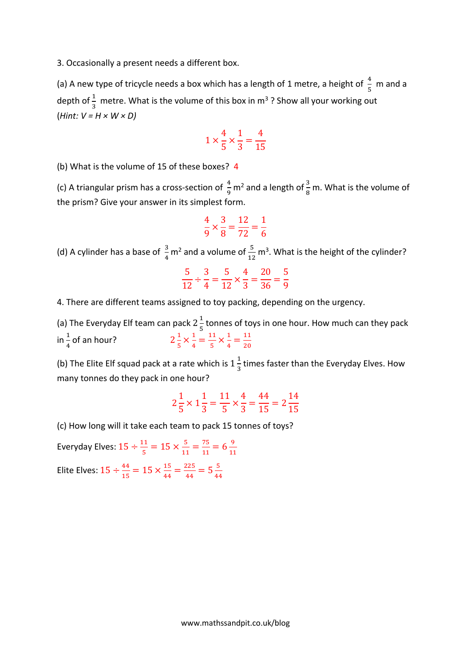3. Occasionally a present needs a different box.

(a) A new type of tricycle needs a box which has a length of 1 metre, a height of  $\frac{4}{5}$  m and a depth of  $\frac{1}{3}$  metre. What is the volume of this box in m<sup>3</sup> ? Show all your working out (*Hint: V = H × W × D)*

$$
1 \times \frac{4}{5} \times \frac{1}{3} = \frac{4}{15}
$$

(b) What is the volume of 15 of these boxes? 4

(c) A triangular prism has a cross-section of  $\frac{4}{9}$  $\frac{4}{9}$  m<sup>2</sup> and a length of  $\frac{3}{8}$  m. What is the volume of the prism? Give your answer in its simplest form.

$$
\frac{4}{9} \times \frac{3}{8} = \frac{12}{72} = \frac{1}{6}
$$

(d) A cylinder has a base of  $\frac{3}{4}$  m<sup>2</sup> and a volume of  $\frac{5}{12}$  m<sup>3</sup>. What is the height of the cylinder?

$$
\frac{5}{12} \div \frac{3}{4} = \frac{5}{12} \times \frac{4}{3} = \frac{20}{36} = \frac{5}{9}
$$

4. There are different teams assigned to toy packing, depending on the urgency.

(a) The Everyday Elf team can pack 2 $\frac{1}{5}$  $\frac{1}{5}$  tonnes of toys in one hour. How much can they pack in  $\frac{1}{4}$  of an hour? 2 1  $\frac{1}{5} \times \frac{1}{4}$  $\frac{1}{4} = \frac{11}{5}$  $\frac{11}{5} \times \frac{1}{4}$  $\frac{1}{4} = \frac{11}{20}$ 20

(b) The Elite Elf squad pack at a rate which is  $1\frac{1}{2}$  $\frac{1}{3}$  times faster than the Everyday Elves. How many tonnes do they pack in one hour?

$$
2\frac{1}{5} \times 1\frac{1}{3} = \frac{11}{5} \times \frac{4}{3} = \frac{44}{15} = 2\frac{14}{15}
$$

(c) How long will it take each team to pack 15 tonnes of toys?

Everyday Elves:  $15 \div \frac{11}{5}$  $\frac{11}{5}$  = 15  $\times \frac{5}{11}$  $\frac{5}{11} = \frac{75}{11}$  $\frac{75}{11} = 6\frac{9}{11}$ 11 Elite Elves:  $15 \div \frac{44}{15}$  $\frac{44}{15}$  = 15  $\times \frac{15}{44}$  $rac{15}{44} = \frac{225}{44}$  $\frac{225}{44} = 5\frac{5}{44}$ 44